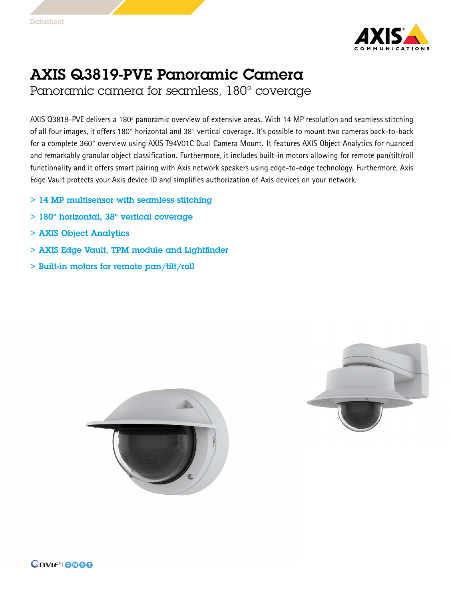

## AXIS Q3819-PVE Panoramic Camera

Panoramic camera for seamless, 180° coverage

AXIS Q3819-PVE delivers <sup>a</sup> 180º panoramic overview of extensive areas. With <sup>14</sup> MP resolution and seamless stitching of all four images, it offers 180° horizontal and 38° vertical coverage. It's possible to mount two cameras back-to-back for <sup>a</sup> complete 360° overview using AXIS T94V01C Dual Camera Mount. It features AXIS Object Analytics for nuanced and remarkably granular object classification. Furthermore, it includes built-in motors allowing for remote pan/tilt/roll functionality and it offers smart pairing with Axis network speakers using edge-to-edge technology. Furthermore, Axis Edge Vault protects your Axis device ID and simplifies authorization of Axis devices on your network.

- > 14 MP multisensor with seamless stitching
- > 180° horizontal, 38° vertical coverage
- > AXIS Object Analytics
- > AXIS Edge Vault, TPM module and Lightfinder
- > Built-in motors for remote pan/tilt/roll



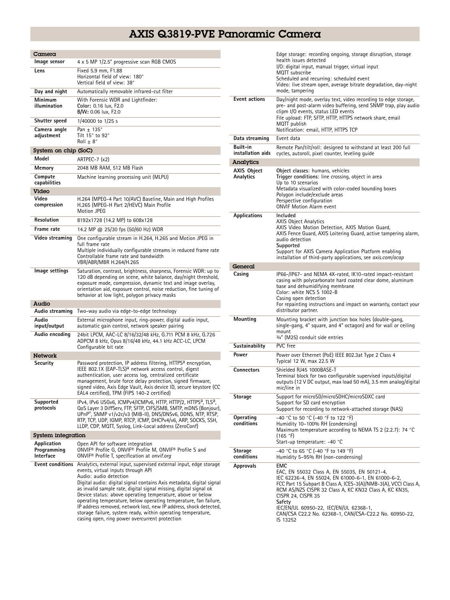## AXIS Q3819-PVE Panoramic Camera

| Camera                                  |                                                                                                                                                                                                                                                                                                                                                                                                                                                                                                                                                                                                          |
|-----------------------------------------|----------------------------------------------------------------------------------------------------------------------------------------------------------------------------------------------------------------------------------------------------------------------------------------------------------------------------------------------------------------------------------------------------------------------------------------------------------------------------------------------------------------------------------------------------------------------------------------------------------|
| Image sensor                            | 4 x 5 MP 1/2.5" progressive scan RGB CMOS                                                                                                                                                                                                                                                                                                                                                                                                                                                                                                                                                                |
| Lens                                    | Fixed 5.9 mm, F1.88<br>Horizontal field of view: 180°<br>Vertical field of view: 38°                                                                                                                                                                                                                                                                                                                                                                                                                                                                                                                     |
| Day and night                           | Automatically removable infrared-cut filter                                                                                                                                                                                                                                                                                                                                                                                                                                                                                                                                                              |
| Minimum<br>illumination                 | With Forensic WDR and Lightfinder:<br>Color: 0.16 lux, F2.0<br>B/W: 0.06 lux, F2.0                                                                                                                                                                                                                                                                                                                                                                                                                                                                                                                       |
| Shutter speed                           | 1/40000 to 1/25 s                                                                                                                                                                                                                                                                                                                                                                                                                                                                                                                                                                                        |
| Camera angle<br>adjustment              | Pan $+$ 135 $^{\circ}$<br>Tilt 15 $^{\circ}$ to 92 $^{\circ}$<br>$Roll \pm 8^{\circ}$                                                                                                                                                                                                                                                                                                                                                                                                                                                                                                                    |
| System on chip (SoC)                    |                                                                                                                                                                                                                                                                                                                                                                                                                                                                                                                                                                                                          |
| Model                                   | ARTPEC-7 (x2)                                                                                                                                                                                                                                                                                                                                                                                                                                                                                                                                                                                            |
| Memory                                  | 2048 MB RAM, 512 MB Flash                                                                                                                                                                                                                                                                                                                                                                                                                                                                                                                                                                                |
| Compute<br>capabilities                 | Machine learning processing unit (MLPU)                                                                                                                                                                                                                                                                                                                                                                                                                                                                                                                                                                  |
| Video                                   |                                                                                                                                                                                                                                                                                                                                                                                                                                                                                                                                                                                                          |
| Video<br>compression                    | H.264 (MPEG-4 Part 10/AVC) Baseline, Main and High Profiles<br>H.265 (MPEG-H Part 2/HEVC) Main Profile<br>Motion JPEG                                                                                                                                                                                                                                                                                                                                                                                                                                                                                    |
| Resolution                              | 8192x1728 (14.2 MP) to 608x128                                                                                                                                                                                                                                                                                                                                                                                                                                                                                                                                                                           |
| Frame rate                              | 14.2 MP @ 25/30 fps (50/60 Hz) WDR                                                                                                                                                                                                                                                                                                                                                                                                                                                                                                                                                                       |
| Video streaming                         | One configurable stream in H.264, H.265 and Motion JPEG in<br>full frame rate                                                                                                                                                                                                                                                                                                                                                                                                                                                                                                                            |
|                                         | Multiple individually configurable streams in reduced frame rate<br>Controllable frame rate and bandwidth<br>VBR/ABR/MBR H.264/H.265                                                                                                                                                                                                                                                                                                                                                                                                                                                                     |
| Image settings                          | Saturation, contrast, brightness, sharpness, Forensic WDR: up to<br>120 dB depending on scene, white balance, day/night threshold,<br>exposure mode, compression, dynamic text and image overlay,<br>orientation aid, exposure control, noise reduction, fine tuning of<br>behavior at low light, polygon privacy masks                                                                                                                                                                                                                                                                                  |
| Audio                                   |                                                                                                                                                                                                                                                                                                                                                                                                                                                                                                                                                                                                          |
| Audio streaming                         | Two-way audio via edge-to-edge technology                                                                                                                                                                                                                                                                                                                                                                                                                                                                                                                                                                |
| Audio<br>input/output                   | External microphone input, ring-power, digital audio input,<br>automatic gain control, network speaker pairing                                                                                                                                                                                                                                                                                                                                                                                                                                                                                           |
| Audio encoding                          | 24bit LPCM, AAC-LC 8/16/32/48 kHz, G.711 PCM 8 kHz, G.726<br>ADPCM 8 kHz, Opus 8/16/48 kHz, 44.1 kHz ACC-LC, LPCM<br>Configurable bit rate                                                                                                                                                                                                                                                                                                                                                                                                                                                               |
| Network                                 |                                                                                                                                                                                                                                                                                                                                                                                                                                                                                                                                                                                                          |
| Security                                | Password protection, IP address filtering, HTTPS <sup>a</sup> encryption,<br>IEEE 802.1X (EAP-TLS) <sup>a</sup> network access control, digest<br>authentication, user access log, centralized certificate<br>management, brute force delay protection, signed firmware,<br>signed video, Axis Edge Vault, Axis device ID, secure keystore (CC<br>EAL4 certified), TPM (FIPS 140-2 certified)                                                                                                                                                                                                            |
| Supported<br>protocols                  | IPv4, IPv6 USGv6, ICMPv4/ICMPv6, HTTP, HTTP/2, HTTPS <sup>a</sup> , TLS <sup>a</sup> ,<br>QoS Layer 3 DiffServ, FTP, SFTP, CIFS/SMB, SMTP, mDNS (Bonjour),<br>UPnP®, SNMP v1/v2c/v3 (MIB-II), DNS/DNSv6, DDNS, NTP, RTSP,<br>RTP, TCP, UDP, IGMP, RTCP, ICMP, DHCPv4/v6, ARP, SOCKS, SSH,<br>LLDP, CDP, MQTT, Syslog, Link-Local address (ZeroConf)                                                                                                                                                                                                                                                      |
| System integration                      |                                                                                                                                                                                                                                                                                                                                                                                                                                                                                                                                                                                                          |
| Application<br>Programming<br>Interface | Open API for software integration<br>ONVIF <sup>®</sup> Profile G, ONVIF® Profile M, ONVIF® Profile S and<br>ONVIF <sup>®</sup> Profile T, specification at onvif.org                                                                                                                                                                                                                                                                                                                                                                                                                                    |
| Event conditions                        | Analytics, external input, supervised external input, edge storage<br>events, virtual inputs through API<br>Audio: audio detection<br>Digital audio: digital signal contains Axis metadata, digital signal<br>as invalid sample rate, digital signal missing, digital signal ok<br>Device status: above operating temperature, above or below<br>operating temperature, below operating temperature, fan failure,<br>IP address removed, network lost, new IP address, shock detected,<br>storage failure, system ready, within operating temperature,<br>casing open, ring power overcurrent protection |

|                               | Edge storage: recording ongoing, storage disruption, storage<br>health issues detected<br>I/O: digital input, manual trigger, virtual input<br>MQTT subscribe<br>Scheduled and recurring: scheduled event<br>Video: live stream open, average bitrate degradation, day-night<br>mode, tampering                                                                                         |
|-------------------------------|-----------------------------------------------------------------------------------------------------------------------------------------------------------------------------------------------------------------------------------------------------------------------------------------------------------------------------------------------------------------------------------------|
| <b>Event actions</b>          | Day/night mode, overlay text, video recording to edge storage,<br>pre- and post-alarm video buffering, send SNMP trap, play audio<br>clipm I/O events, status LED events<br>File upload: FTP, SFTP, HTTP, HTTPS network share, email<br>MQTT publish<br>Notification: email, HTTP, HTTPS TCP                                                                                            |
| Data streaming                | Event data                                                                                                                                                                                                                                                                                                                                                                              |
| Built-in<br>installation aids | Remote Pan/tilt/roll: designed to withstand at least 200 full<br>cycles, autoroll, pixel counter, leveling quide                                                                                                                                                                                                                                                                        |
| Analytics                     |                                                                                                                                                                                                                                                                                                                                                                                         |
| AXIS Object<br>Analytics      | Object classes: humans, vehicles<br>Trigger conditions: line crossing, object in area<br>Up to 10 scenarios<br>Metadata visualized with color-coded bounding boxes<br>Polygon include/exclude areas<br>Perspective configuration<br><b>ONVIF Motion Alarm event</b>                                                                                                                     |
| <b>Applications</b>           | Included<br><b>AXIS Object Analytics</b><br>AXIS Video Motion Detection, AXIS Motion Guard,<br>AXIS Fence Guard, AXIS Loitering Guard, active tampering alarm,<br>audio detection<br>Supported<br>Support for AXIS Camera Application Platform enabling<br>installation of third-party applications, see <i>axis.com/acap</i>                                                           |
| General                       |                                                                                                                                                                                                                                                                                                                                                                                         |
| Casing                        | IP66-/IP67- and NEMA 4X-rated, IK10-rated impact-resistant<br>casing with polycarbonate hard coated clear dome, aluminum<br>base and dehumidifying membrane<br>Color: white NCS S 1002-B<br>Casing open detection<br>For repainting instructions and impact on warranty, contact your<br>distributor partner.                                                                           |
| Mounting                      | Mounting bracket with junction box holes (double-gang,<br>single-gang, 4" square, and 4" octagon) and for wall or ceiling<br>mount<br>3/4" (M25) conduit side entries                                                                                                                                                                                                                   |
| Sustainability                | PVC free                                                                                                                                                                                                                                                                                                                                                                                |
| Power                         | Power over Ethernet (PoE) IEEE 802.3at Type 2 Class 4<br>Typical 12 W, max 22.5 W                                                                                                                                                                                                                                                                                                       |
| <b>Connectors</b>             | Shielded RJ45 1000BASE-T<br>Terminal block for two configurable supervised inputs/digital<br>outputs (12 V DC output, max load 50 mA), 3.5 mm analog/digital<br>mic/line in                                                                                                                                                                                                             |
| Storage                       | Support for microSD/microSDHC/microSDXC card<br>Support for SD card encryption<br>Support for recording to network-attached storage (NAS)                                                                                                                                                                                                                                               |
| Operating<br>conditions       | -40 °C to 50 °C (-40 °F to 122 °F)<br>Humidity 10-100% RH (condensing)<br>Maximum temperature according to NEMA TS 2 (2.2.7): 74 °C<br>(165 °F)<br>Start-up temperature: -40 °C                                                                                                                                                                                                         |
| Storage<br>conditions         | -40 °C to 65 °C (-40 °F to 149 °F)<br>Humidity 5-95% RH (non-condensing)                                                                                                                                                                                                                                                                                                                |
| Approvals                     | EMC<br>EAC, EN 55032 Class A, EN 55035, EN 50121-4,<br>IEC 62236-4, EN 55024, EN 61000-6-1, EN 61000-6-2,<br>FCC Part 15 Subpart B Class A, ICES-3(A)/NMB-3(A), VCCI Class A,<br>RCM AS/NZS CISPR 32 Class A, KC KN32 Class A, KC KN35,<br>CISPR 24, CISPR 35<br>Safety<br>IEC/EN/UL 60950-22, IEC/EN/UL 62368-1,<br>CAN/CSA C22.2 No. 62368-1, CAN/CSA-C22.2 No. 60950-22,<br>IS 13252 |